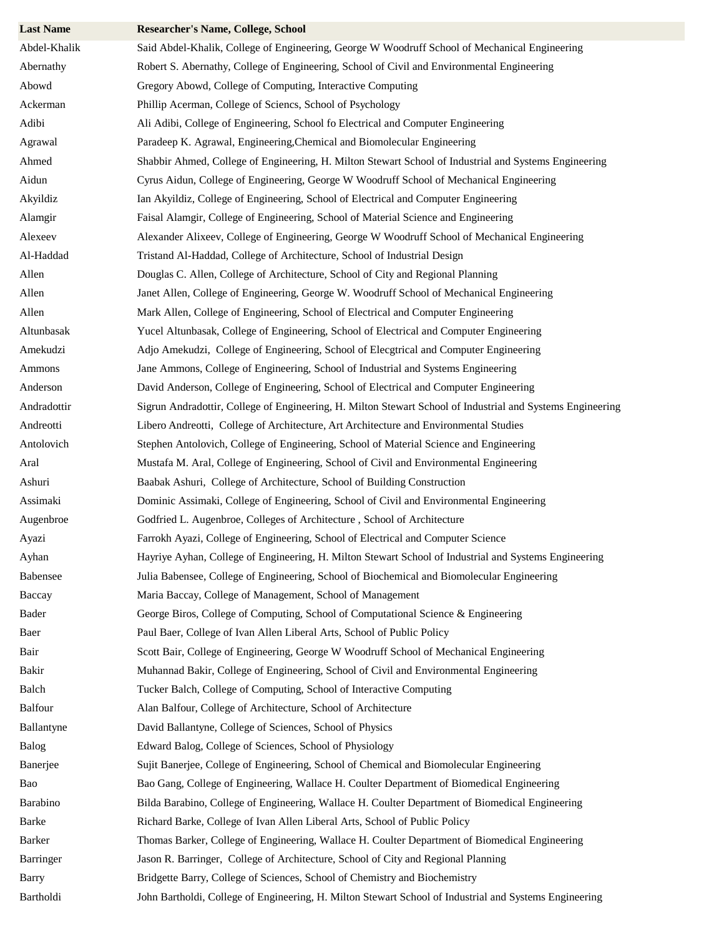| <b>Last Name</b> | <b>Researcher's Name, College, School</b>                                                                  |
|------------------|------------------------------------------------------------------------------------------------------------|
| Abdel-Khalik     | Said Abdel-Khalik, College of Engineering, George W Woodruff School of Mechanical Engineering              |
| Abernathy        | Robert S. Abernathy, College of Engineering, School of Civil and Environmental Engineering                 |
| Abowd            | Gregory Abowd, College of Computing, Interactive Computing                                                 |
| Ackerman         | Phillip Acerman, College of Sciencs, School of Psychology                                                  |
| Adibi            | Ali Adibi, College of Engineering, School fo Electrical and Computer Engineering                           |
| Agrawal          | Paradeep K. Agrawal, Engineering, Chemical and Biomolecular Engineering                                    |
| Ahmed            | Shabbir Ahmed, College of Engineering, H. Milton Stewart School of Industrial and Systems Engineering      |
| Aidun            | Cyrus Aidun, College of Engineering, George W Woodruff School of Mechanical Engineering                    |
| Akyildiz         | Ian Akyildiz, College of Engineering, School of Electrical and Computer Engineering                        |
| Alamgir          | Faisal Alamgir, College of Engineering, School of Material Science and Engineering                         |
| Alexeev          | Alexander Alixeev, College of Engineering, George W Woodruff School of Mechanical Engineering              |
| Al-Haddad        | Tristand Al-Haddad, College of Architecture, School of Industrial Design                                   |
| Allen            | Douglas C. Allen, College of Architecture, School of City and Regional Planning                            |
| Allen            | Janet Allen, College of Engineering, George W. Woodruff School of Mechanical Engineering                   |
| Allen            | Mark Allen, College of Engineering, School of Electrical and Computer Engineering                          |
| Altunbasak       | Yucel Altunbasak, College of Engineering, School of Electrical and Computer Engineering                    |
| Amekudzi         | Adjo Amekudzi, College of Engineering, School of Elecgtrical and Computer Engineering                      |
| Ammons           | Jane Ammons, College of Engineering, School of Industrial and Systems Engineering                          |
| Anderson         | David Anderson, College of Engineering, School of Electrical and Computer Engineering                      |
| Andradottir      | Sigrun Andradottir, College of Engineering, H. Milton Stewart School of Industrial and Systems Engineering |
| Andreotti        | Libero Andreotti, College of Architecture, Art Architecture and Environmental Studies                      |
| Antolovich       | Stephen Antolovich, College of Engineering, School of Material Science and Engineering                     |
| Aral             | Mustafa M. Aral, College of Engineering, School of Civil and Environmental Engineering                     |
| Ashuri           | Baabak Ashuri, College of Architecture, School of Building Construction                                    |
| Assimaki         | Dominic Assimaki, College of Engineering, School of Civil and Environmental Engineering                    |
| Augenbroe        | Godfried L. Augenbroe, Colleges of Architecture, School of Architecture                                    |
| Ayazi            | Farrokh Ayazi, College of Engineering, School of Electrical and Computer Science                           |
| Ayhan            | Hayriye Ayhan, College of Engineering, H. Milton Stewart School of Industrial and Systems Engineering      |
| Babensee         | Julia Babensee, College of Engineering, School of Biochemical and Biomolecular Engineering                 |
| Baccay           | Maria Baccay, College of Management, School of Management                                                  |
| Bader            | George Biros, College of Computing, School of Computational Science & Engineering                          |
| Baer             | Paul Baer, College of Ivan Allen Liberal Arts, School of Public Policy                                     |
| Bair             | Scott Bair, College of Engineering, George W Woodruff School of Mechanical Engineering                     |
| Bakir            | Muhannad Bakir, College of Engineering, School of Civil and Environmental Engineering                      |
| Balch            | Tucker Balch, College of Computing, School of Interactive Computing                                        |
| <b>Balfour</b>   | Alan Balfour, College of Architecture, School of Architecture                                              |
| Ballantyne       | David Ballantyne, College of Sciences, School of Physics                                                   |
| Balog            | Edward Balog, College of Sciences, School of Physiology                                                    |
| Banerjee         | Sujit Banerjee, College of Engineering, School of Chemical and Biomolecular Engineering                    |
| Bao              | Bao Gang, College of Engineering, Wallace H. Coulter Department of Biomedical Engineering                  |
| Barabino         | Bilda Barabino, College of Engineering, Wallace H. Coulter Department of Biomedical Engineering            |
| Barke            | Richard Barke, College of Ivan Allen Liberal Arts, School of Public Policy                                 |
| Barker           | Thomas Barker, College of Engineering, Wallace H. Coulter Department of Biomedical Engineering             |
| Barringer        | Jason R. Barringer, College of Architecture, School of City and Regional Planning                          |
| <b>Barry</b>     | Bridgette Barry, College of Sciences, School of Chemistry and Biochemistry                                 |
| Bartholdi        | John Bartholdi, College of Engineering, H. Milton Stewart School of Industrial and Systems Engineering     |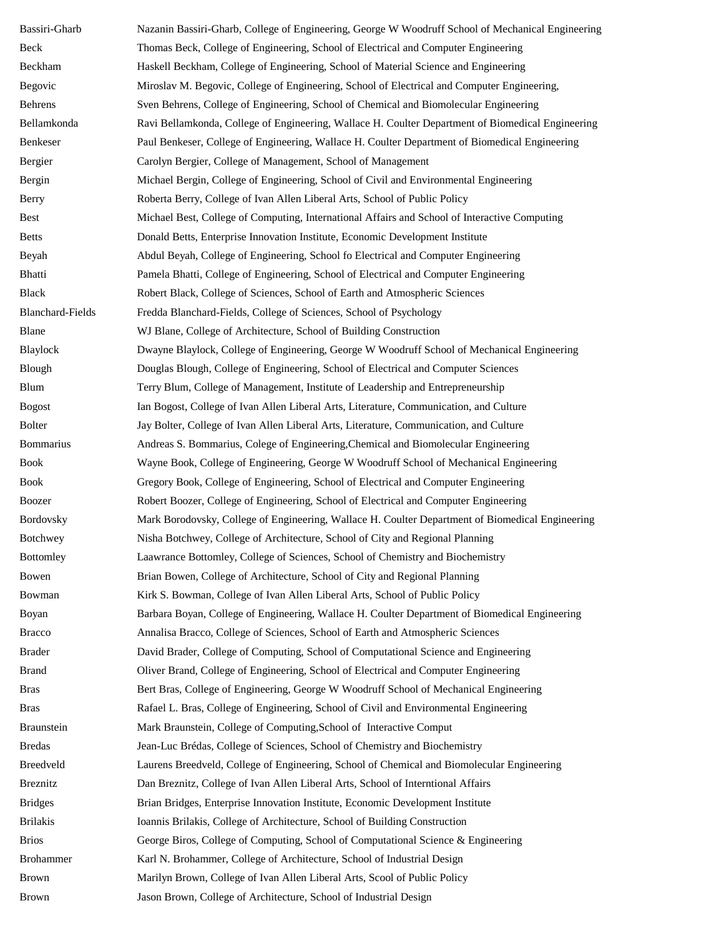| Bassiri-Gharb           | Nazanin Bassiri-Gharb, College of Engineering, George W Woodruff School of Mechanical Engineering |
|-------------------------|---------------------------------------------------------------------------------------------------|
| Beck                    | Thomas Beck, College of Engineering, School of Electrical and Computer Engineering                |
| Beckham                 | Haskell Beckham, College of Engineering, School of Material Science and Engineering               |
| Begovic                 | Miroslav M. Begovic, College of Engineering, School of Electrical and Computer Engineering,       |
| Behrens                 | Sven Behrens, College of Engineering, School of Chemical and Biomolecular Engineering             |
| Bellamkonda             | Ravi Bellamkonda, College of Engineering, Wallace H. Coulter Department of Biomedical Engineering |
| Benkeser                | Paul Benkeser, College of Engineering, Wallace H. Coulter Department of Biomedical Engineering    |
| Bergier                 | Carolyn Bergier, College of Management, School of Management                                      |
| Bergin                  | Michael Bergin, College of Engineering, School of Civil and Environmental Engineering             |
| <b>Berry</b>            | Roberta Berry, College of Ivan Allen Liberal Arts, School of Public Policy                        |
| <b>Best</b>             | Michael Best, College of Computing, International Affairs and School of Interactive Computing     |
| <b>Betts</b>            | Donald Betts, Enterprise Innovation Institute, Economic Development Institute                     |
| Beyah                   | Abdul Beyah, College of Engineering, School fo Electrical and Computer Engineering                |
| <b>Bhatti</b>           | Pamela Bhatti, College of Engineering, School of Electrical and Computer Engineering              |
| <b>Black</b>            | Robert Black, College of Sciences, School of Earth and Atmospheric Sciences                       |
| <b>Blanchard-Fields</b> | Fredda Blanchard-Fields, College of Sciences, School of Psychology                                |
| Blane                   | WJ Blane, College of Architecture, School of Building Construction                                |
| Blaylock                | Dwayne Blaylock, College of Engineering, George W Woodruff School of Mechanical Engineering       |
| Blough                  | Douglas Blough, College of Engineering, School of Electrical and Computer Sciences                |
| Blum                    | Terry Blum, College of Management, Institute of Leadership and Entrepreneurship                   |
| <b>Bogost</b>           | Ian Bogost, College of Ivan Allen Liberal Arts, Literature, Communication, and Culture            |
| <b>Bolter</b>           | Jay Bolter, College of Ivan Allen Liberal Arts, Literature, Communication, and Culture            |
| <b>Bommarius</b>        | Andreas S. Bommarius, Colege of Engineering, Chemical and Biomolecular Engineering                |
| <b>Book</b>             | Wayne Book, College of Engineering, George W Woodruff School of Mechanical Engineering            |
| <b>Book</b>             | Gregory Book, College of Engineering, School of Electrical and Computer Engineering               |
| Boozer                  | Robert Boozer, College of Engineering, School of Electrical and Computer Engineering              |
| Bordovsky               | Mark Borodovsky, College of Engineering, Wallace H. Coulter Department of Biomedical Engineering  |
| <b>Botchwey</b>         | Nisha Botchwey, College of Architecture, School of City and Regional Planning                     |
| <b>Bottomley</b>        | Laawrance Bottomley, College of Sciences, School of Chemistry and Biochemistry                    |
| Bowen                   | Brian Bowen, College of Architecture, School of City and Regional Planning                        |
| Bowman                  | Kirk S. Bowman, College of Ivan Allen Liberal Arts, School of Public Policy                       |
| Boyan                   | Barbara Boyan, College of Engineering, Wallace H. Coulter Department of Biomedical Engineering    |
| <b>Bracco</b>           | Annalisa Bracco, College of Sciences, School of Earth and Atmospheric Sciences                    |
| <b>Brader</b>           | David Brader, College of Computing, School of Computational Science and Engineering               |
| <b>Brand</b>            | Oliver Brand, College of Engineering, School of Electrical and Computer Engineering               |
| <b>Bras</b>             | Bert Bras, College of Engineering, George W Woodruff School of Mechanical Engineering             |
| <b>Bras</b>             | Rafael L. Bras, College of Engineering, School of Civil and Environmental Engineering             |
| Braunstein              | Mark Braunstein, College of Computing, School of Interactive Comput                               |
| <b>Bredas</b>           | Jean-Luc Brédas, College of Sciences, School of Chemistry and Biochemistry                        |
| Breedveld               | Laurens Breedveld, College of Engineering, School of Chemical and Biomolecular Engineering        |
| <b>Breznitz</b>         | Dan Breznitz, College of Ivan Allen Liberal Arts, School of Interntional Affairs                  |
| <b>Bridges</b>          | Brian Bridges, Enterprise Innovation Institute, Economic Development Institute                    |
| <b>Brilakis</b>         | Ioannis Brilakis, College of Architecture, School of Building Construction                        |
| <b>Brios</b>            | George Biros, College of Computing, School of Computational Science & Engineering                 |
| <b>Brohammer</b>        | Karl N. Brohammer, College of Architecture, School of Industrial Design                           |
| <b>Brown</b>            | Marilyn Brown, College of Ivan Allen Liberal Arts, Scool of Public Policy                         |
| <b>Brown</b>            | Jason Brown, College of Architecture, School of Industrial Design                                 |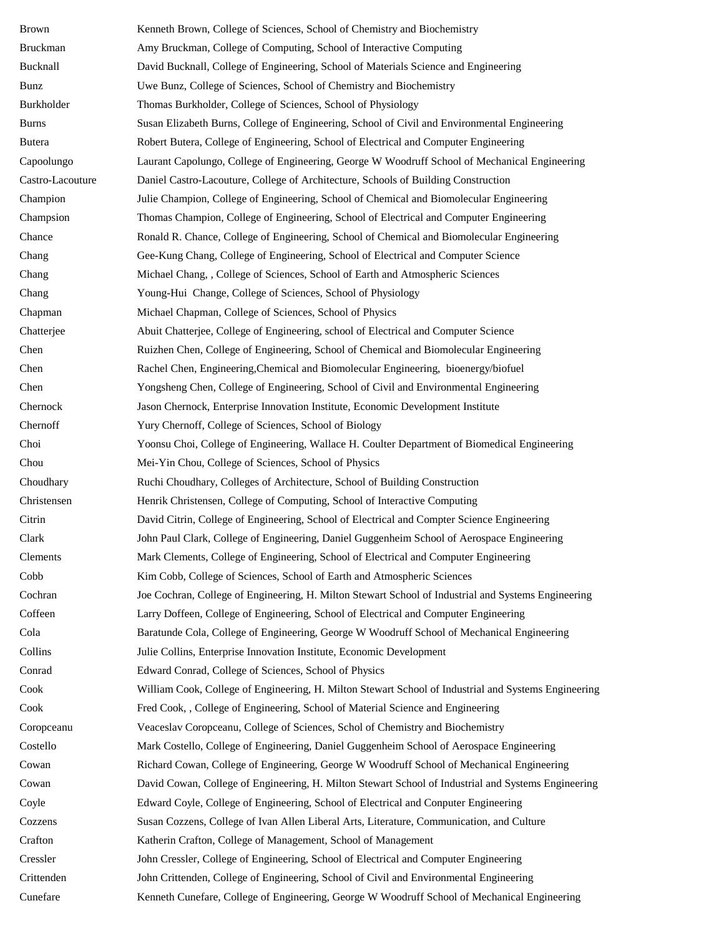| Brown            | Kenneth Brown, College of Sciences, School of Chemistry and Biochemistry                             |
|------------------|------------------------------------------------------------------------------------------------------|
| <b>Bruckman</b>  | Amy Bruckman, College of Computing, School of Interactive Computing                                  |
| Bucknall         | David Bucknall, College of Engineering, School of Materials Science and Engineering                  |
| Bunz             | Uwe Bunz, College of Sciences, School of Chemistry and Biochemistry                                  |
| Burkholder       | Thomas Burkholder, College of Sciences, School of Physiology                                         |
| Burns            | Susan Elizabeth Burns, College of Engineering, School of Civil and Environmental Engineering         |
| Butera           | Robert Butera, College of Engineering, School of Electrical and Computer Engineering                 |
| Capoolungo       | Laurant Capolungo, College of Engineering, George W Woodruff School of Mechanical Engineering        |
| Castro-Lacouture | Daniel Castro-Lacouture, College of Architecture, Schools of Building Construction                   |
| Champion         | Julie Champion, College of Engineering, School of Chemical and Biomolecular Engineering              |
| Champsion        | Thomas Champion, College of Engineering, School of Electrical and Computer Engineering               |
| Chance           | Ronald R. Chance, College of Engineering, School of Chemical and Biomolecular Engineering            |
| Chang            | Gee-Kung Chang, College of Engineering, School of Electrical and Computer Science                    |
| Chang            | Michael Chang, , College of Sciences, School of Earth and Atmospheric Sciences                       |
| Chang            | Young-Hui Change, College of Sciences, School of Physiology                                          |
| Chapman          | Michael Chapman, College of Sciences, School of Physics                                              |
| Chatterjee       | Abuit Chatterjee, College of Engineering, school of Electrical and Computer Science                  |
| Chen             | Ruizhen Chen, College of Engineering, School of Chemical and Biomolecular Engineering                |
| Chen             | Rachel Chen, Engineering, Chemical and Biomolecular Engineering, bioenergy/biofuel                   |
| Chen             | Yongsheng Chen, College of Engineering, School of Civil and Environmental Engineering                |
| Chernock         | Jason Chernock, Enterprise Innovation Institute, Economic Development Institute                      |
| Chernoff         | Yury Chernoff, College of Sciences, School of Biology                                                |
| Choi             | Yoonsu Choi, College of Engineering, Wallace H. Coulter Department of Biomedical Engineering         |
| Chou             | Mei-Yin Chou, College of Sciences, School of Physics                                                 |
| Choudhary        | Ruchi Choudhary, Colleges of Architecture, School of Building Construction                           |
| Christensen      | Henrik Christensen, College of Computing, School of Interactive Computing                            |
| Citrin           | David Citrin, College of Engineering, School of Electrical and Compter Science Engineering           |
| Clark            | John Paul Clark, College of Engineering, Daniel Guggenheim School of Aerospace Engineering           |
| Clements         | Mark Clements, College of Engineering, School of Electrical and Computer Engineering                 |
| Cobb             | Kim Cobb, College of Sciences, School of Earth and Atmospheric Sciences                              |
| Cochran          | Joe Cochran, College of Engineering, H. Milton Stewart School of Industrial and Systems Engineering  |
| Coffeen          | Larry Doffeen, College of Engineering, School of Electrical and Computer Engineering                 |
| Cola             | Baratunde Cola, College of Engineering, George W Woodruff School of Mechanical Engineering           |
| Collins          | Julie Collins, Enterprise Innovation Institute, Economic Development                                 |
| Conrad           | Edward Conrad, College of Sciences, School of Physics                                                |
| Cook             | William Cook, College of Engineering, H. Milton Stewart School of Industrial and Systems Engineering |
| Cook             | Fred Cook, , College of Engineering, School of Material Science and Engineering                      |
| Coropceanu       | Veaceslav Coropceanu, College of Sciences, Schol of Chemistry and Biochemistry                       |
| Costello         | Mark Costello, College of Engineering, Daniel Guggenheim School of Aerospace Engineering             |
| Cowan            | Richard Cowan, College of Engineering, George W Woodruff School of Mechanical Engineering            |
| Cowan            | David Cowan, College of Engineering, H. Milton Stewart School of Industrial and Systems Engineering  |
| Coyle            | Edward Coyle, College of Engineering, School of Electrical and Conputer Engineering                  |
| Cozzens          | Susan Cozzens, College of Ivan Allen Liberal Arts, Literature, Communication, and Culture            |
| Crafton          | Katherin Crafton, College of Management, School of Management                                        |
| Cressler         | John Cressler, College of Engineering, School of Electrical and Computer Engineering                 |
| Crittenden       | John Crittenden, College of Engineering, School of Civil and Environmental Engineering               |
| Cunefare         | Kenneth Cunefare, College of Engineering, George W Woodruff School of Mechanical Engineering         |
|                  |                                                                                                      |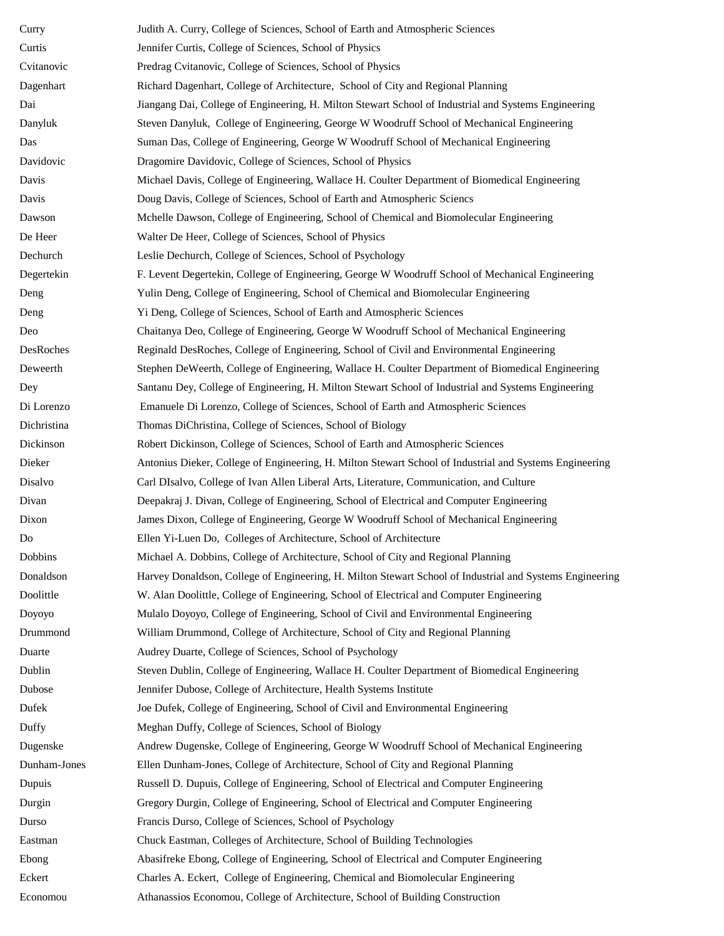| Curry        | Judith A. Curry, College of Sciences, School of Earth and Atmospheric Sciences                           |
|--------------|----------------------------------------------------------------------------------------------------------|
| Curtis       | Jennifer Curtis, College of Sciences, School of Physics                                                  |
| Cvitanovic   | Predrag Cvitanovic, College of Sciences, School of Physics                                               |
| Dagenhart    | Richard Dagenhart, College of Architecture, School of City and Regional Planning                         |
| Dai          | Jiangang Dai, College of Engineering, H. Milton Stewart School of Industrial and Systems Engineering     |
| Danyluk      | Steven Danyluk, College of Engineering, George W Woodruff School of Mechanical Engineering               |
| Das          | Suman Das, College of Engineering, George W Woodruff School of Mechanical Engineering                    |
| Davidovic    | Dragomire Davidovic, College of Sciences, School of Physics                                              |
| Davis        | Michael Davis, College of Engineering, Wallace H. Coulter Department of Biomedical Engineering           |
| Davis        | Doug Davis, College of Sciences, School of Earth and Atmospheric Sciencs                                 |
| Dawson       | Mchelle Dawson, College of Engineering, School of Chemical and Biomolecular Engineering                  |
| De Heer      | Walter De Heer, College of Sciences, School of Physics                                                   |
| Dechurch     | Leslie Dechurch, College of Sciences, School of Psychology                                               |
| Degertekin   | F. Levent Degertekin, College of Engineering, George W Woodruff School of Mechanical Engineering         |
| Deng         | Yulin Deng, College of Engineering, School of Chemical and Biomolecular Engineering                      |
| Deng         | Yi Deng, College of Sciences, School of Earth and Atmospheric Sciences                                   |
| Deo          | Chaitanya Deo, College of Engineering, George W Woodruff School of Mechanical Engineering                |
| DesRoches    | Reginald DesRoches, College of Engineering, School of Civil and Environmental Engineering                |
| Deweerth     | Stephen DeWeerth, College of Engineering, Wallace H. Coulter Department of Biomedical Engineering        |
| Dey          | Santanu Dey, College of Engineering, H. Milton Stewart School of Industrial and Systems Engineering      |
| Di Lorenzo   | Emanuele Di Lorenzo, College of Sciences, School of Earth and Atmospheric Sciences                       |
| Dichristina  | Thomas DiChristina, College of Sciences, School of Biology                                               |
| Dickinson    | Robert Dickinson, College of Sciences, School of Earth and Atmospheric Sciences                          |
| Dieker       | Antonius Dieker, College of Engineering, H. Milton Stewart School of Industrial and Systems Engineering  |
| Disalvo      | Carl DIsalvo, College of Ivan Allen Liberal Arts, Literature, Communication, and Culture                 |
| Divan        | Deepakraj J. Divan, College of Engineering, School of Electrical and Computer Engineering                |
| Dixon        | James Dixon, College of Engineering, George W Woodruff School of Mechanical Engineering                  |
| Do           | Ellen Yi-Luen Do, Colleges of Architecture, School of Architecture                                       |
| Dobbins      | Michael A. Dobbins, College of Architecture, School of City and Regional Planning                        |
| Donaldson    | Harvey Donaldson, College of Engineering, H. Milton Stewart School of Industrial and Systems Engineering |
| Doolittle    | W. Alan Doolittle, College of Engineering, School of Electrical and Computer Engineering                 |
| Doyoyo       | Mulalo Doyoyo, College of Engineering, School of Civil and Environmental Engineering                     |
| Drummond     | William Drummond, College of Architecture, School of City and Regional Planning                          |
| Duarte       | Audrey Duarte, College of Sciences, School of Psychology                                                 |
| Dublin       | Steven Dublin, College of Engineering, Wallace H. Coulter Department of Biomedical Engineering           |
| Dubose       | Jennifer Dubose, College of Architecture, Health Systems Institute                                       |
| Dufek        | Joe Dufek, College of Engineering, School of Civil and Environmental Engineering                         |
| Duffy        | Meghan Duffy, College of Sciences, School of Biology                                                     |
| Dugenske     | Andrew Dugenske, College of Engineering, George W Woodruff School of Mechanical Engineering              |
| Dunham-Jones | Ellen Dunham-Jones, College of Architecture, School of City and Regional Planning                        |
| Dupuis       | Russell D. Dupuis, College of Engineering, School of Electrical and Computer Engineering                 |
| Durgin       | Gregory Durgin, College of Engineering, School of Electrical and Computer Engineering                    |
| Durso        | Francis Durso, College of Sciences, School of Psychology                                                 |
| Eastman      | Chuck Eastman, Colleges of Architecture, School of Building Technologies                                 |
| Ebong        | Abasifreke Ebong, College of Engineering, School of Electrical and Computer Engineering                  |
| Eckert       | Charles A. Eckert, College of Engineering, Chemical and Biomolecular Engineering                         |
| Economou     | Athanassios Economou, College of Architecture, School of Building Construction                           |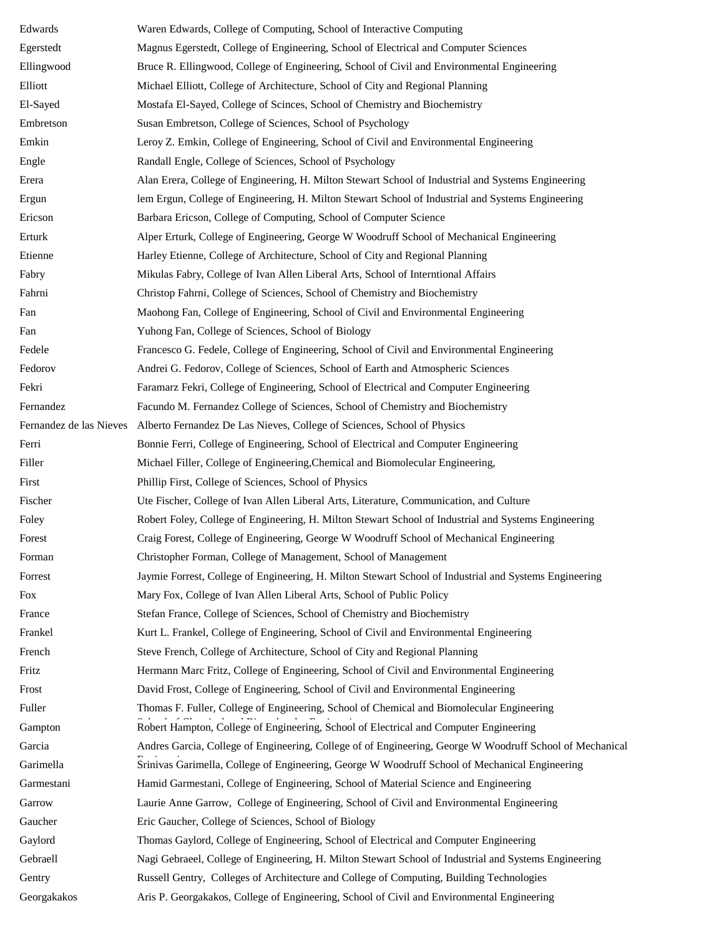| Edwards                 | Waren Edwards, College of Computing, School of Interactive Computing                                     |
|-------------------------|----------------------------------------------------------------------------------------------------------|
| Egerstedt               | Magnus Egerstedt, College of Engineering, School of Electrical and Computer Sciences                     |
| Ellingwood              | Bruce R. Ellingwood, College of Engineering, School of Civil and Environmental Engineering               |
| Elliott                 | Michael Elliott, College of Architecture, School of City and Regional Planning                           |
| El-Sayed                | Mostafa El-Sayed, College of Scinces, School of Chemistry and Biochemistry                               |
| Embretson               | Susan Embretson, College of Sciences, School of Psychology                                               |
| Emkin                   | Leroy Z. Emkin, College of Engineering, School of Civil and Environmental Engineering                    |
| Engle                   | Randall Engle, College of Sciences, School of Psychology                                                 |
| Erera                   | Alan Erera, College of Engineering, H. Milton Stewart School of Industrial and Systems Engineering       |
| Ergun                   | lem Ergun, College of Engineering, H. Milton Stewart School of Industrial and Systems Engineering        |
| Ericson                 | Barbara Ericson, College of Computing, School of Computer Science                                        |
| Erturk                  | Alper Erturk, College of Engineering, George W Woodruff School of Mechanical Engineering                 |
| Etienne                 | Harley Etienne, College of Architecture, School of City and Regional Planning                            |
| Fabry                   | Mikulas Fabry, College of Ivan Allen Liberal Arts, School of Interntional Affairs                        |
| Fahrni                  | Christop Fahrni, College of Sciences, School of Chemistry and Biochemistry                               |
| Fan                     | Maohong Fan, College of Engineering, School of Civil and Environmental Engineering                       |
| Fan                     | Yuhong Fan, College of Sciences, School of Biology                                                       |
| Fedele                  | Francesco G. Fedele, College of Engineering, School of Civil and Environmental Engineering               |
| Fedorov                 | Andrei G. Fedorov, College of Sciences, School of Earth and Atmospheric Sciences                         |
| Fekri                   | Faramarz Fekri, College of Engineering, School of Electrical and Computer Engineering                    |
| Fernandez               | Facundo M. Fernandez College of Sciences, School of Chemistry and Biochemistry                           |
| Fernandez de las Nieves | Alberto Fernandez De Las Nieves, College of Sciences, School of Physics                                  |
| Ferri                   | Bonnie Ferri, College of Engineering, School of Electrical and Computer Engineering                      |
| Filler                  | Michael Filler, College of Engineering, Chemical and Biomolecular Engineering,                           |
| First                   | Phillip First, College of Sciences, School of Physics                                                    |
| Fischer                 | Ute Fischer, College of Ivan Allen Liberal Arts, Literature, Communication, and Culture                  |
| Foley                   | Robert Foley, College of Engineering, H. Milton Stewart School of Industrial and Systems Engineering     |
| Forest                  | Craig Forest, College of Engineering, George W Woodruff School of Mechanical Engineering                 |
| Forman                  | Christopher Forman, College of Management, School of Management                                          |
| Forrest                 | Jaymie Forrest, College of Engineering, H. Milton Stewart School of Industrial and Systems Engineering   |
| Fox                     | Mary Fox, College of Ivan Allen Liberal Arts, School of Public Policy                                    |
| France                  | Stefan France, College of Sciences, School of Chemistry and Biochemistry                                 |
| Frankel                 | Kurt L. Frankel, College of Engineering, School of Civil and Environmental Engineering                   |
| French                  | Steve French, College of Architecture, School of City and Regional Planning                              |
| Fritz                   | Hermann Marc Fritz, College of Engineering, School of Civil and Environmental Engineering                |
| Frost                   | David Frost, College of Engineering, School of Civil and Environmental Engineering                       |
| Fuller                  | Thomas F. Fuller, College of Engineering, School of Chemical and Biomolecular Engineering                |
| Gampton                 | Robert Hampton, College of Engineering, School of Electrical and Computer Engineering                    |
| Garcia                  | Andres Garcia, College of Engineering, College of of Engineering, George W Woodruff School of Mechanical |
| Garimella               | Srinivas Garimella, College of Engineering, George W Woodruff School of Mechanical Engineering           |
| Garmestani              | Hamid Garmestani, College of Engineering, School of Material Science and Engineering                     |
| Garrow                  | Laurie Anne Garrow, College of Engineering, School of Civil and Environmental Engineering                |
| Gaucher                 | Eric Gaucher, College of Sciences, School of Biology                                                     |
| Gaylord                 | Thomas Gaylord, College of Engineering, School of Electrical and Computer Engineering                    |
| Gebraell                | Nagi Gebraeel, College of Engineering, H. Milton Stewart School of Industrial and Systems Engineering    |
| Gentry                  | Russell Gentry, Colleges of Architecture and College of Computing, Building Technologies                 |
| Georgakakos             | Aris P. Georgakakos, College of Engineering, School of Civil and Environmental Engineering               |
|                         |                                                                                                          |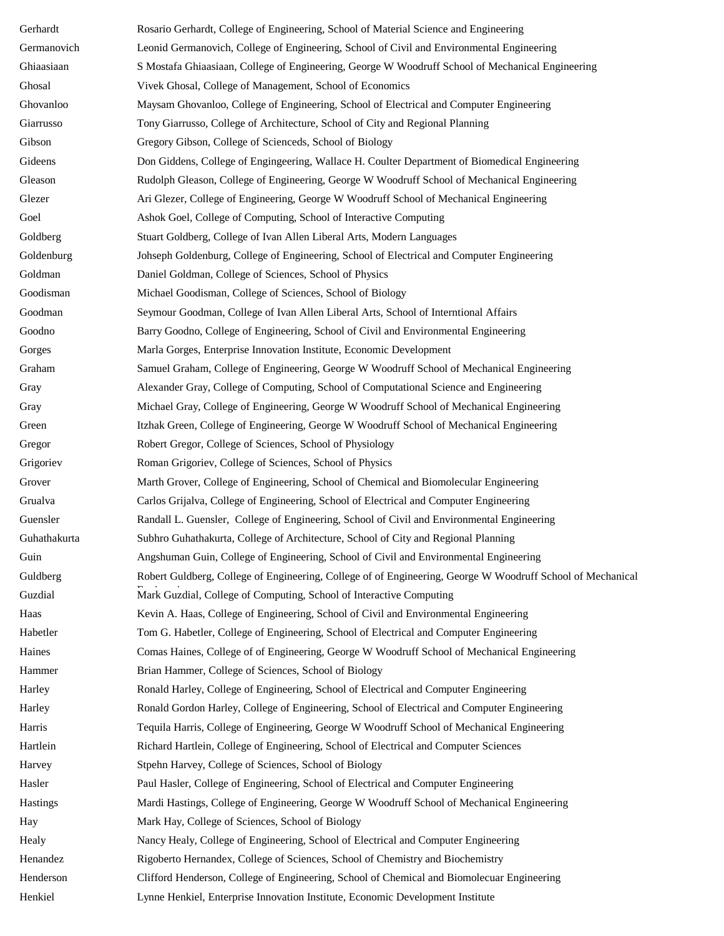Gerhardt Rosario Gerhardt, College of Engineering, School of Material Science and Engineering Germanovich Leonid Germanovich, College of Engineering, School of Civil and Environmental Engineering Ghiaasiaan S Mostafa Ghiaasiaan, College of Engineering, George W Woodruff School of Mechanical Engineering Ghosal Vivek Ghosal, College of Management, School of Economics Ghovanloo Maysam Ghovanloo, College of Engineering, School of Electrical and Computer Engineering Giarrusso Tony Giarrusso, College of Architecture, School of City and Regional Planning Gibson Gregory Gibson, College of Scienceds, School of Biology Gideens Don Giddens, College of Engingeering, Wallace H. Coulter Department of Biomedical Engineering Gleason Rudolph Gleason, College of Engineering, George W Woodruff School of Mechanical Engineering Glezer Ari Glezer, College of Engineering, George W Woodruff School of Mechanical Engineering Goel Ashok Goel, College of Computing, School of Interactive Computing Goldberg Stuart Goldberg, College of Ivan Allen Liberal Arts, Modern Languages Goldenburg Johseph Goldenburg, College of Engineering, School of Electrical and Computer Engineering Goldman Daniel Goldman, College of Sciences, School of Physics Goodisman Michael Goodisman, College of Sciences, School of Biology Goodman Seymour Goodman, College of Ivan Allen Liberal Arts, School of Interntional Affairs Goodno Barry Goodno, College of Engineering, School of Civil and Environmental Engineering Gorges Marla Gorges, Enterprise Innovation Institute, Economic Development Graham Samuel Graham, College of Engineering, George W Woodruff School of Mechanical Engineering Gray Alexander Gray, College of Computing, School of Computational Science and Engineering Gray Michael Gray, College of Engineering, George W Woodruff School of Mechanical Engineering Green Itzhak Green, College of Engineering, George W Woodruff School of Mechanical Engineering Gregor Robert Gregor, College of Sciences, School of Physiology Grigoriev Roman Grigoriev, College of Sciences, School of Physics Grover Marth Grover, College of Engineering, School of Chemical and Biomolecular Engineering Grualva Carlos Grijalva, College of Engineering, School of Electrical and Computer Engineering Guensler Randall L. Guensler, College of Engineering, School of Civil and Environmental Engineering Guhathakurta Subhro Guhathakurta, College of Architecture, School of City and Regional Planning Guin Angshuman Guin, College of Engineering, School of Civil and Environmental Engineering Guldberg Robert Guldberg, College of Engineering, College of of Engineering, George W Woodruff School of Mechanical Engineering Guzdial Mark Guzdial, College of Computing, School of Interactive Computing Haas Kevin A. Haas, College of Engineering, School of Civil and Environmental Engineering Habetler Tom G. Habetler, College of Engineering, School of Electrical and Computer Engineering Haines Comas Haines, College of of Engineering, George W Woodruff School of Mechanical Engineering Hammer Brian Hammer, College of Sciences, School of Biology Harley Ronald Harley, College of Engineering, School of Electrical and Computer Engineering Harley Ronald Gordon Harley, College of Engineering, School of Electrical and Computer Engineering Harris Tequila Harris, College of Engineering, George W Woodruff School of Mechanical Engineering Hartlein Richard Hartlein, College of Engineering, School of Electrical and Computer Sciences Harvey Stpehn Harvey, College of Sciences, School of Biology Hasler Paul Hasler, College of Engineering, School of Electrical and Computer Engineering Hastings Mardi Hastings, College of Engineering, George W Woodruff School of Mechanical Engineering Hay Mark Hay, College of Sciences, School of Biology Healy Nancy Healy, College of Engineering, School of Electrical and Computer Engineering Henandez Rigoberto Hernandex, College of Sciences, School of Chemistry and Biochemistry Henderson Clifford Henderson, College of Engineering, School of Chemical and Biomolecuar Engineering Henkiel Lynne Henkiel, Enterprise Innovation Institute, Economic Development Institute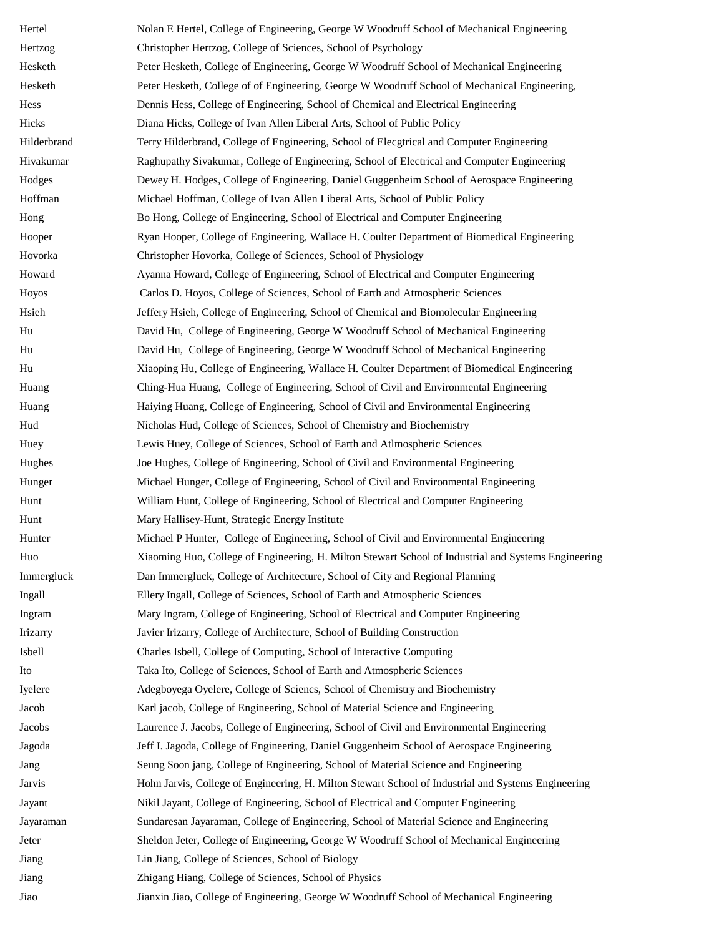Hertel Nolan E Hertel, College of Engineering, George W Woodruff School of Mechanical Engineering Hertzog Christopher Hertzog, College of Sciences, School of Psychology Hesketh Peter Hesketh, College of Engineering, George W Woodruff School of Mechanical Engineering Hesketh Peter Hesketh, College of of Engineering, George W Woodruff School of Mechanical Engineering, Hess Dennis Hess, College of Engineering, School of Chemical and Electrical Engineering Hicks Diana Hicks, College of Ivan Allen Liberal Arts, School of Public Policy Hilderbrand Terry Hilderbrand, College of Engineering, School of Elecgtrical and Computer Engineering Hivakumar Raghupathy Sivakumar, College of Engineering, School of Electrical and Computer Engineering Hodges Dewey H. Hodges, College of Engineering, Daniel Guggenheim School of Aerospace Engineering Hoffman Michael Hoffman, College of Ivan Allen Liberal Arts, School of Public Policy Hong Bo Hong, College of Engineering, School of Electrical and Computer Engineering Hooper Ryan Hooper, College of Engineering, Wallace H. Coulter Department of Biomedical Engineering Hovorka Christopher Hovorka, College of Sciences, School of Physiology Howard Ayanna Howard, College of Engineering, School of Electrical and Computer Engineering Hoyos Carlos D. Hoyos, College of Sciences, School of Earth and Atmospheric Sciences Hsieh Jeffery Hsieh, College of Engineering, School of Chemical and Biomolecular Engineering Hu David Hu, College of Engineering, George W Woodruff School of Mechanical Engineering Hu David Hu, College of Engineering, George W Woodruff School of Mechanical Engineering Hu Xiaoping Hu, College of Engineering, Wallace H. Coulter Department of Biomedical Engineering Huang Ching-Hua Huang, College of Engineering, School of Civil and Environmental Engineering Huang Haiying Huang, College of Engineering, School of Civil and Environmental Engineering Hud Nicholas Hud, College of Sciences, School of Chemistry and Biochemistry Huey Lewis Huey, College of Sciences, School of Earth and Atlmospheric Sciences Hughes Joe Hughes, College of Engineering, School of Civil and Environmental Engineering Hunger Michael Hunger, College of Engineering, School of Civil and Environmental Engineering Hunt William Hunt, College of Engineering, School of Electrical and Computer Engineering Hunt Mary Hallisey-Hunt, Strategic Energy Institute Hunter Michael P Hunter, College of Engineering, School of Civil and Environmental Engineering Huo Xiaoming Huo, College of Engineering, H. Milton Stewart School of Industrial and Systems Engineering Immergluck Dan Immergluck, College of Architecture, School of City and Regional Planning Ingall Ellery Ingall, College of Sciences, School of Earth and Atmospheric Sciences Ingram Mary Ingram, College of Engineering, School of Electrical and Computer Engineering Irizarry Javier Irizarry, College of Architecture, School of Building Construction Isbell Charles Isbell, College of Computing, School of Interactive Computing Ito Taka Ito, College of Sciences, School of Earth and Atmospheric Sciences Iyelere Adegboyega Oyelere, College of Sciencs, School of Chemistry and Biochemistry Jacob Karl jacob, College of Engineering, School of Material Science and Engineering Jacobs Laurence J. Jacobs, College of Engineering, School of Civil and Environmental Engineering Jagoda Jeff I. Jagoda, College of Engineering, Daniel Guggenheim School of Aerospace Engineering Jang Seung Soon jang, College of Engineering, School of Material Science and Engineering Jarvis Hohn Jarvis, College of Engineering, H. Milton Stewart School of Industrial and Systems Engineering Jayant Nikil Jayant, College of Engineering, School of Electrical and Computer Engineering Jayaraman Sundaresan Jayaraman, College of Engineering, School of Material Science and Engineering Jeter Sheldon Jeter, College of Engineering, George W Woodruff School of Mechanical Engineering Jiang Lin Jiang, College of Sciences, School of Biology Jiang Zhigang Hiang, College of Sciences, School of Physics Jiao Jianxin Jiao, College of Engineering, George W Woodruff School of Mechanical Engineering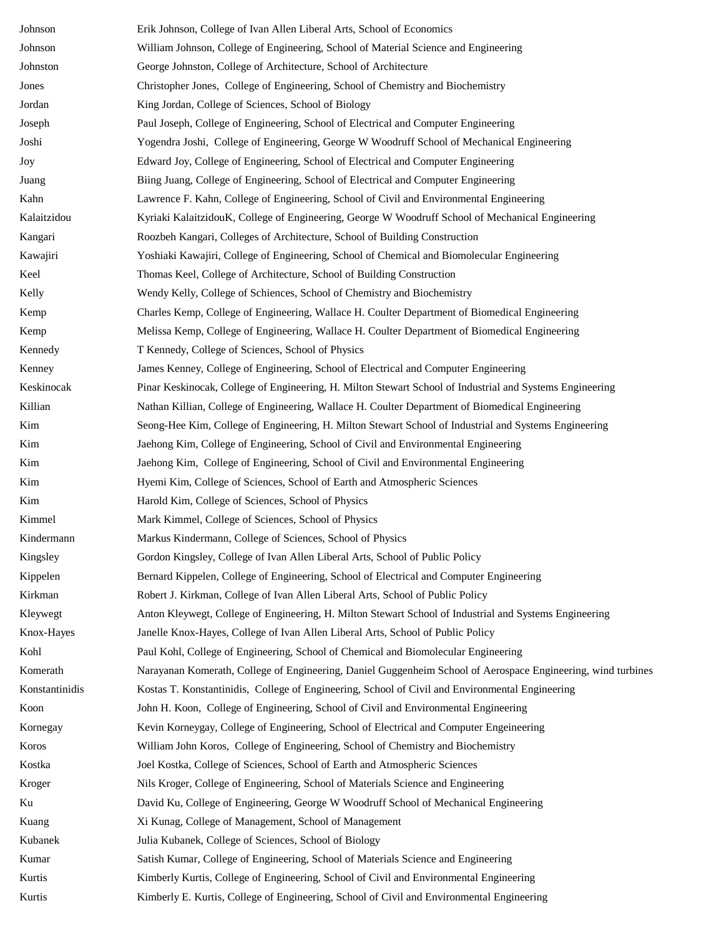| Johnson        | Erik Johnson, College of Ivan Allen Liberal Arts, School of Economics                                        |
|----------------|--------------------------------------------------------------------------------------------------------------|
| Johnson        | William Johnson, College of Engineering, School of Material Science and Engineering                          |
| Johnston       | George Johnston, College of Architecture, School of Architecture                                             |
| Jones          | Christopher Jones, College of Engineering, School of Chemistry and Biochemistry                              |
| Jordan         | King Jordan, College of Sciences, School of Biology                                                          |
| Joseph         | Paul Joseph, College of Engineering, School of Electrical and Computer Engineering                           |
| Joshi          | Yogendra Joshi, College of Engineering, George W Woodruff School of Mechanical Engineering                   |
| Joy            | Edward Joy, College of Engineering, School of Electrical and Computer Engineering                            |
| Juang          | Biing Juang, College of Engineering, School of Electrical and Computer Engineering                           |
| Kahn           | Lawrence F. Kahn, College of Engineering, School of Civil and Environmental Engineering                      |
| Kalaitzidou    | Kyriaki KalaitzidouK, College of Engineering, George W Woodruff School of Mechanical Engineering             |
| Kangari        | Roozbeh Kangari, Colleges of Architecture, School of Building Construction                                   |
| Kawajiri       | Yoshiaki Kawajiri, College of Engineering, School of Chemical and Biomolecular Engineering                   |
| Keel           | Thomas Keel, College of Architecture, School of Building Construction                                        |
| Kelly          | Wendy Kelly, College of Schiences, School of Chemistry and Biochemistry                                      |
| Kemp           | Charles Kemp, College of Engineering, Wallace H. Coulter Department of Biomedical Engineering                |
| Kemp           | Melissa Kemp, College of Engineering, Wallace H. Coulter Department of Biomedical Engineering                |
| Kennedy        | T Kennedy, College of Sciences, School of Physics                                                            |
| Kenney         | James Kenney, College of Engineering, School of Electrical and Computer Engineering                          |
| Keskinocak     | Pinar Keskinocak, College of Engineering, H. Milton Stewart School of Industrial and Systems Engineering     |
| Killian        | Nathan Killian, College of Engineering, Wallace H. Coulter Department of Biomedical Engineering              |
| Kim            | Seong-Hee Kim, College of Engineering, H. Milton Stewart School of Industrial and Systems Engineering        |
| Kim            | Jaehong Kim, College of Engineering, School of Civil and Environmental Engineering                           |
| Kim            | Jaehong Kim, College of Engineering, School of Civil and Environmental Engineering                           |
| Kim            | Hyemi Kim, College of Sciences, School of Earth and Atmospheric Sciences                                     |
| Kim            | Harold Kim, College of Sciences, School of Physics                                                           |
| Kimmel         | Mark Kimmel, College of Sciences, School of Physics                                                          |
| Kindermann     | Markus Kindermann, College of Sciences, School of Physics                                                    |
| Kingsley       | Gordon Kingsley, College of Ivan Allen Liberal Arts, School of Public Policy                                 |
| Kippelen       | Bernard Kippelen, College of Engineering, School of Electrical and Computer Engineering                      |
| Kirkman        | Robert J. Kirkman, College of Ivan Allen Liberal Arts, School of Public Policy                               |
| Kleywegt       | Anton Kleywegt, College of Engineering, H. Milton Stewart School of Industrial and Systems Engineering       |
| Knox-Hayes     | Janelle Knox-Hayes, College of Ivan Allen Liberal Arts, School of Public Policy                              |
| Kohl           | Paul Kohl, College of Engineering, School of Chemical and Biomolecular Engineering                           |
| Komerath       | Narayanan Komerath, College of Engineering, Daniel Guggenheim School of Aerospace Engineering, wind turbines |
| Konstantinidis | Kostas T. Konstantinidis, College of Engineering, School of Civil and Environmental Engineering              |
| Koon           | John H. Koon, College of Engineering, School of Civil and Environmental Engineering                          |
| Kornegay       | Kevin Korneygay, College of Engineering, School of Electrical and Computer Engeineering                      |
| Koros          | William John Koros, College of Engineering, School of Chemistry and Biochemistry                             |
| Kostka         | Joel Kostka, College of Sciences, School of Earth and Atmospheric Sciences                                   |
| Kroger         | Nils Kroger, College of Engineering, School of Materials Science and Engineering                             |
| Ku             | David Ku, College of Engineering, George W Woodruff School of Mechanical Engineering                         |
| Kuang          | Xi Kunag, College of Management, School of Management                                                        |
| Kubanek        | Julia Kubanek, College of Sciences, School of Biology                                                        |
| Kumar          | Satish Kumar, College of Engineering, School of Materials Science and Engineering                            |
| Kurtis         | Kimberly Kurtis, College of Engineering, School of Civil and Environmental Engineering                       |
| Kurtis         | Kimberly E. Kurtis, College of Engineering, School of Civil and Environmental Engineering                    |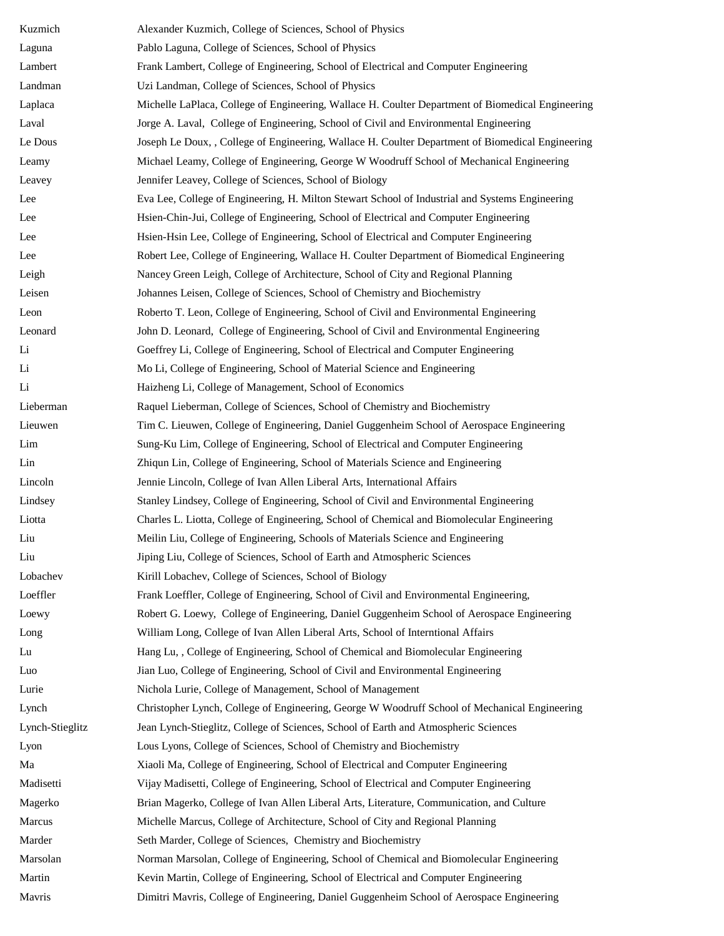| Kuzmich         | Alexander Kuzmich, College of Sciences, School of Physics                                         |
|-----------------|---------------------------------------------------------------------------------------------------|
| Laguna          | Pablo Laguna, College of Sciences, School of Physics                                              |
| Lambert         | Frank Lambert, College of Engineering, School of Electrical and Computer Engineering              |
| Landman         | Uzi Landman, College of Sciences, School of Physics                                               |
| Laplaca         | Michelle LaPlaca, College of Engineering, Wallace H. Coulter Department of Biomedical Engineering |
| Laval           | Jorge A. Laval, College of Engineering, School of Civil and Environmental Engineering             |
| Le Dous         | Joseph Le Doux, , College of Engineering, Wallace H. Coulter Department of Biomedical Engineering |
| Leamy           | Michael Leamy, College of Engineering, George W Woodruff School of Mechanical Engineering         |
| Leavey          | Jennifer Leavey, College of Sciences, School of Biology                                           |
| Lee             | Eva Lee, College of Engineering, H. Milton Stewart School of Industrial and Systems Engineering   |
| Lee             | Hsien-Chin-Jui, College of Engineering, School of Electrical and Computer Engineering             |
| Lee             | Hsien-Hsin Lee, College of Engineering, School of Electrical and Computer Engineering             |
| Lee             | Robert Lee, College of Engineering, Wallace H. Coulter Department of Biomedical Engineering       |
| Leigh           | Nancey Green Leigh, College of Architecture, School of City and Regional Planning                 |
| Leisen          | Johannes Leisen, College of Sciences, School of Chemistry and Biochemistry                        |
| Leon            | Roberto T. Leon, College of Engineering, School of Civil and Environmental Engineering            |
| Leonard         | John D. Leonard, College of Engineering, School of Civil and Environmental Engineering            |
| Li              | Goeffrey Li, College of Engineering, School of Electrical and Computer Engineering                |
| Li              | Mo Li, College of Engineering, School of Material Science and Engineering                         |
| Li              | Haizheng Li, College of Management, School of Economics                                           |
| Lieberman       | Raquel Lieberman, College of Sciences, School of Chemistry and Biochemistry                       |
| Lieuwen         | Tim C. Lieuwen, College of Engineering, Daniel Guggenheim School of Aerospace Engineering         |
| Lim             | Sung-Ku Lim, College of Engineering, School of Electrical and Computer Engineering                |
| Lin             | Zhiqun Lin, College of Engineering, School of Materials Science and Engineering                   |
| Lincoln         | Jennie Lincoln, College of Ivan Allen Liberal Arts, International Affairs                         |
| Lindsey         | Stanley Lindsey, College of Engineering, School of Civil and Environmental Engineering            |
| Liotta          | Charles L. Liotta, College of Engineering, School of Chemical and Biomolecular Engineering        |
| Liu             | Meilin Liu, College of Engineering, Schools of Materials Science and Engineering                  |
| Liu             | Jiping Liu, College of Sciences, School of Earth and Atmospheric Sciences                         |
| Lobachev        | Kirill Lobachev, College of Sciences, School of Biology                                           |
| Loeffler        | Frank Loeffler, College of Engineering, School of Civil and Environmental Engineering,            |
| Loewy           | Robert G. Loewy, College of Engineering, Daniel Guggenheim School of Aerospace Engineering        |
| Long            | William Long, College of Ivan Allen Liberal Arts, School of Interntional Affairs                  |
| Lu              | Hang Lu, , College of Engineering, School of Chemical and Biomolecular Engineering                |
| Luo             | Jian Luo, College of Engineering, School of Civil and Environmental Engineering                   |
| Lurie           | Nichola Lurie, College of Management, School of Management                                        |
| Lynch           | Christopher Lynch, College of Engineering, George W Woodruff School of Mechanical Engineering     |
| Lynch-Stieglitz | Jean Lynch-Stieglitz, College of Sciences, School of Earth and Atmospheric Sciences               |
| Lyon            | Lous Lyons, College of Sciences, School of Chemistry and Biochemistry                             |
| Ma              | Xiaoli Ma, College of Engineering, School of Electrical and Computer Engineering                  |
| Madisetti       | Vijay Madisetti, College of Engineering, School of Electrical and Computer Engineering            |
| Magerko         | Brian Magerko, College of Ivan Allen Liberal Arts, Literature, Communication, and Culture         |
| Marcus          | Michelle Marcus, College of Architecture, School of City and Regional Planning                    |
| Marder          | Seth Marder, College of Sciences, Chemistry and Biochemistry                                      |
| Marsolan        | Norman Marsolan, College of Engineering, School of Chemical and Biomolecular Engineering          |
| Martin          | Kevin Martin, College of Engineering, School of Electrical and Computer Engineering               |
| Mavris          | Dimitri Mavris, College of Engineering, Daniel Guggenheim School of Aerospace Engineering         |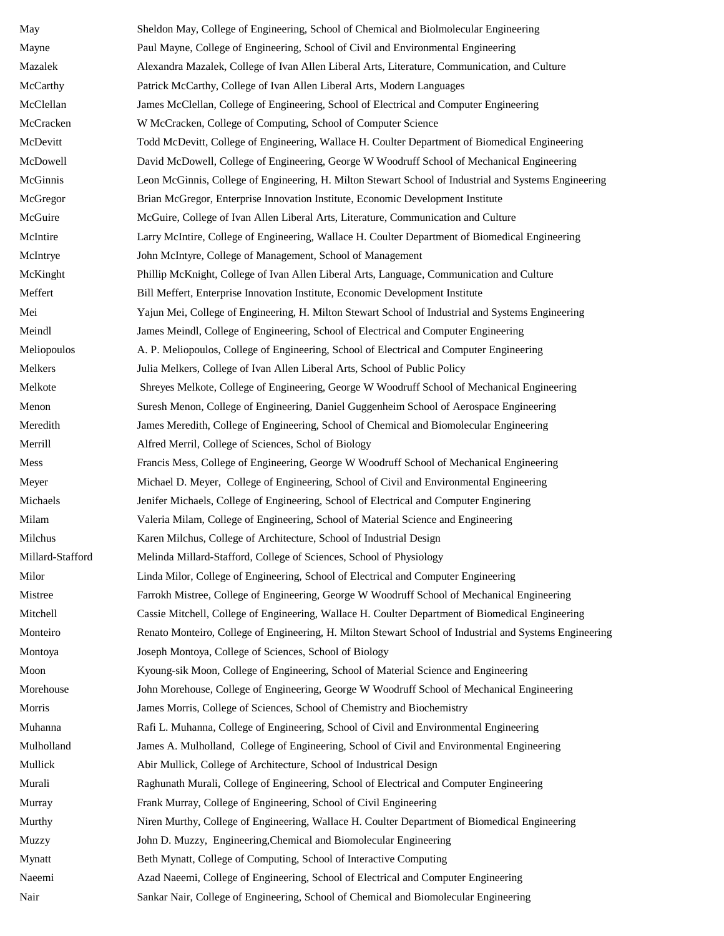May Sheldon May, College of Engineering, School of Chemical and Biolmolecular Engineering Mayne Paul Mayne, College of Engineering, School of Civil and Environmental Engineering Mazalek Alexandra Mazalek, College of Ivan Allen Liberal Arts, Literature, Communication, and Culture McCarthy Patrick McCarthy, College of Ivan Allen Liberal Arts, Modern Languages McClellan James McClellan, College of Engineering, School of Electrical and Computer Engineering McCracken W McCracken, College of Computing, School of Computer Science McDevitt Todd McDevitt, College of Engineering, Wallace H. Coulter Department of Biomedical Engineering McDowell David McDowell, College of Engineering, George W Woodruff School of Mechanical Engineering McGinnis Leon McGinnis, College of Engineering, H. Milton Stewart School of Industrial and Systems Engineering McGregor Brian McGregor, Enterprise Innovation Institute, Economic Development Institute McGuire McGuire, College of Ivan Allen Liberal Arts, Literature, Communication and Culture McIntire Larry McIntire, College of Engineering, Wallace H. Coulter Department of Biomedical Engineering McIntrye John McIntyre, College of Management, School of Management McKinght Phillip McKnight, College of Ivan Allen Liberal Arts, Language, Communication and Culture Meffert Bill Meffert, Enterprise Innovation Institute, Economic Development Institute Mei Yajun Mei, College of Engineering, H. Milton Stewart School of Industrial and Systems Engineering Meindl James Meindl, College of Engineering, School of Electrical and Computer Engineering Meliopoulos A. P. Meliopoulos, College of Engineering, School of Electrical and Computer Engineering Melkers Julia Melkers, College of Ivan Allen Liberal Arts, School of Public Policy Melkote Shreyes Melkote, College of Engineering, George W Woodruff School of Mechanical Engineering Menon Suresh Menon, College of Engineering, Daniel Guggenheim School of Aerospace Engineering Meredith James Meredith, College of Engineering, School of Chemical and Biomolecular Engineering Merrill Alfred Merril, College of Sciences, Schol of Biology Mess Francis Mess, College of Engineering, George W Woodruff School of Mechanical Engineering Meyer Michael D. Meyer, College of Engineering, School of Civil and Environmental Engineering Michaels Jenifer Michaels, College of Engineering, School of Electrical and Computer Enginering Milam Valeria Milam, College of Engineering, School of Material Science and Engineering Milchus Karen Milchus, College of Architecture, School of Industrial Design Millard-Stafford Melinda Millard-Stafford, College of Sciences, School of Physiology Milor Linda Milor, College of Engineering, School of Electrical and Computer Engineering Mistree Farrokh Mistree, College of Engineering, George W Woodruff School of Mechanical Engineering Mitchell Cassie Mitchell, College of Engineering, Wallace H. Coulter Department of Biomedical Engineering Monteiro Renato Monteiro, College of Engineering, H. Milton Stewart School of Industrial and Systems Engineering Montoya Joseph Montoya, College of Sciences, School of Biology Moon Kyoung-sik Moon, College of Engineering, School of Material Science and Engineering Morehouse John Morehouse, College of Engineering, George W Woodruff School of Mechanical Engineering Morris James Morris, College of Sciences, School of Chemistry and Biochemistry Muhanna Rafi L. Muhanna, College of Engineering, School of Civil and Environmental Engineering Mulholland James A. Mulholland, College of Engineering, School of Civil and Environmental Engineering Mullick Abir Mullick, College of Architecture, School of Industrical Design Murali Raghunath Murali, College of Engineering, School of Electrical and Computer Engineering Murray Frank Murray, College of Engineering, School of Civil Engineering Murthy Niren Murthy, College of Engineering, Wallace H. Coulter Department of Biomedical Engineering Muzzy John D. Muzzy, Engineering,Chemical and Biomolecular Engineering Mynatt Beth Mynatt, College of Computing, School of Interactive Computing Naeemi Azad Naeemi, College of Engineering, School of Electrical and Computer Engineering Nair Sankar Nair, College of Engineering, School of Chemical and Biomolecular Engineering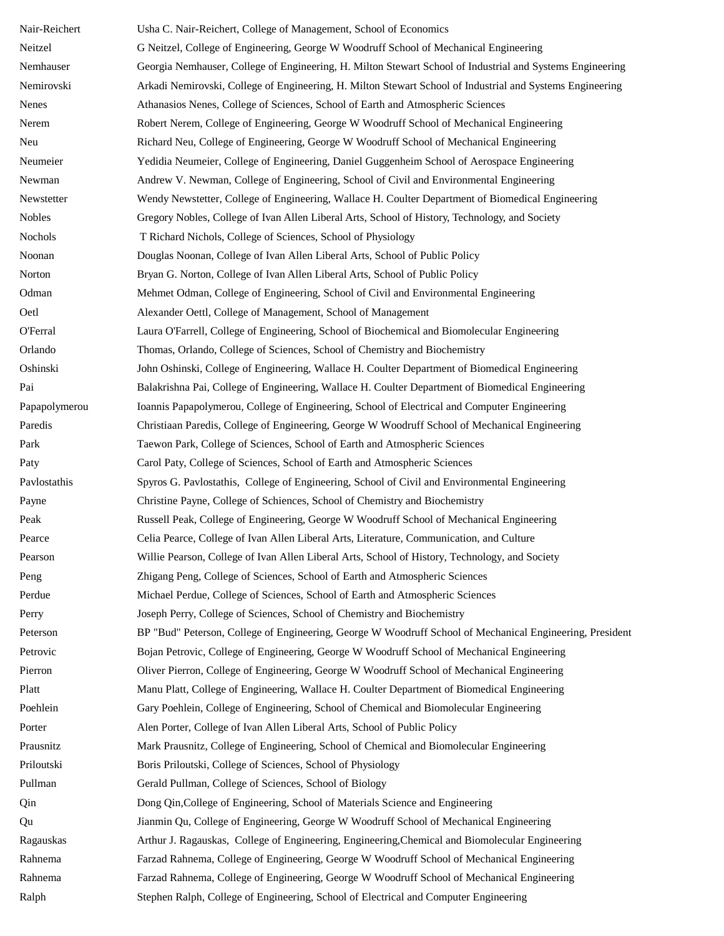| Nair-Reichert   | Usha C. Nair-Reichert, College of Management, School of Economics                                         |
|-----------------|-----------------------------------------------------------------------------------------------------------|
| Neitzel         | G Neitzel, College of Engineering, George W Woodruff School of Mechanical Engineering                     |
| Nemhauser       | Georgia Nemhauser, College of Engineering, H. Milton Stewart School of Industrial and Systems Engineering |
| Nemirovski      | Arkadi Nemirovski, College of Engineering, H. Milton Stewart School of Industrial and Systems Engineering |
| Nenes           | Athanasios Nenes, College of Sciences, School of Earth and Atmospheric Sciences                           |
| Nerem           | Robert Nerem, College of Engineering, George W Woodruff School of Mechanical Engineering                  |
| Neu             | Richard Neu, College of Engineering, George W Woodruff School of Mechanical Engineering                   |
| Neumeier        | Yedidia Neumeier, College of Engineering, Daniel Guggenheim School of Aerospace Engineering               |
| Newman          | Andrew V. Newman, College of Engineering, School of Civil and Environmental Engineering                   |
| Newstetter      | Wendy Newstetter, College of Engineering, Wallace H. Coulter Department of Biomedical Engineering         |
| <b>Nobles</b>   | Gregory Nobles, College of Ivan Allen Liberal Arts, School of History, Technology, and Society            |
| Nochols         | T Richard Nichols, College of Sciences, School of Physiology                                              |
| Noonan          | Douglas Noonan, College of Ivan Allen Liberal Arts, School of Public Policy                               |
| Norton          | Bryan G. Norton, College of Ivan Allen Liberal Arts, School of Public Policy                              |
| Odman           | Mehmet Odman, College of Engineering, School of Civil and Environmental Engineering                       |
| Oetl            | Alexander Oettl, College of Management, School of Management                                              |
| <b>O'Ferral</b> | Laura O'Farrell, College of Engineering, School of Biochemical and Biomolecular Engineering               |
| Orlando         | Thomas, Orlando, College of Sciences, School of Chemistry and Biochemistry                                |
| Oshinski        | John Oshinski, College of Engineering, Wallace H. Coulter Department of Biomedical Engineering            |
| Pai             | Balakrishna Pai, College of Engineering, Wallace H. Coulter Department of Biomedical Engineering          |
| Papapolymerou   | Ioannis Papapolymerou, College of Engineering, School of Electrical and Computer Engineering              |
| Paredis         | Christiaan Paredis, College of Engineering, George W Woodruff School of Mechanical Engineering            |
| Park            | Taewon Park, College of Sciences, School of Earth and Atmospheric Sciences                                |
| Paty            | Carol Paty, College of Sciences, School of Earth and Atmospheric Sciences                                 |
| Pavlostathis    | Spyros G. Pavlostathis, College of Engineering, School of Civil and Environmental Engineering             |
| Payne           | Christine Payne, College of Schiences, School of Chemistry and Biochemistry                               |
| Peak            | Russell Peak, College of Engineering, George W Woodruff School of Mechanical Engineering                  |
| Pearce          | Celia Pearce, College of Ivan Allen Liberal Arts, Literature, Communication, and Culture                  |
| Pearson         | Willie Pearson, College of Ivan Allen Liberal Arts, School of History, Technology, and Society            |
| Peng            | Zhigang Peng, College of Sciences, School of Earth and Atmospheric Sciences                               |
| Perdue          | Michael Perdue, College of Sciences, School of Earth and Atmospheric Sciences                             |
| Perry           | Joseph Perry, College of Sciences, School of Chemistry and Biochemistry                                   |
| Peterson        | BP "Bud" Peterson, College of Engineering, George W Woodruff School of Mechanical Engineering, President  |
| Petrovic        | Bojan Petrovic, College of Engineering, George W Woodruff School of Mechanical Engineering                |
| Pierron         | Oliver Pierron, College of Engineering, George W Woodruff School of Mechanical Engineering                |
| Platt           | Manu Platt, College of Engineering, Wallace H. Coulter Department of Biomedical Engineering               |
| Poehlein        | Gary Poehlein, College of Engineering, School of Chemical and Biomolecular Engineering                    |
| Porter          | Alen Porter, College of Ivan Allen Liberal Arts, School of Public Policy                                  |
| Prausnitz       | Mark Prausnitz, College of Engineering, School of Chemical and Biomolecular Engineering                   |
| Priloutski      | Boris Priloutski, College of Sciences, School of Physiology                                               |
| Pullman         | Gerald Pullman, College of Sciences, School of Biology                                                    |
| Qin             | Dong Qin, College of Engineering, School of Materials Science and Engineering                             |
| Qu              | Jianmin Qu, College of Engineering, George W Woodruff School of Mechanical Engineering                    |
| Ragauskas       | Arthur J. Ragauskas, College of Engineering, Engineering, Chemical and Biomolecular Engineering           |
| Rahnema         | Farzad Rahnema, College of Engineering, George W Woodruff School of Mechanical Engineering                |
| Rahnema         | Farzad Rahnema, College of Engineering, George W Woodruff School of Mechanical Engineering                |
| Ralph           | Stephen Ralph, College of Engineering, School of Electrical and Computer Engineering                      |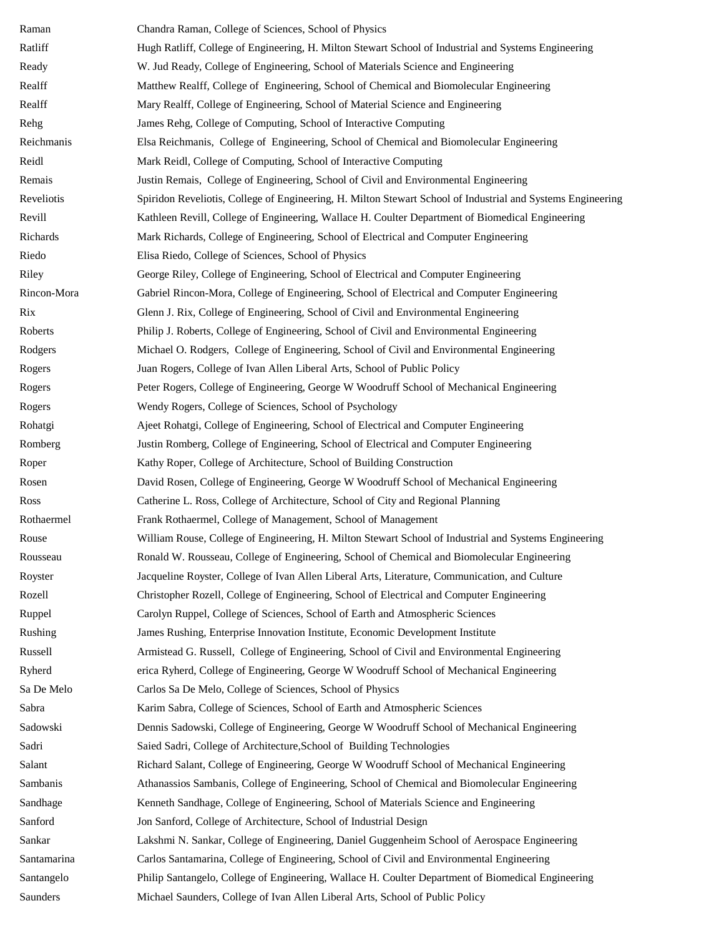| Raman       | Chandra Raman, College of Sciences, School of Physics                                                       |
|-------------|-------------------------------------------------------------------------------------------------------------|
| Ratliff     | Hugh Ratliff, College of Engineering, H. Milton Stewart School of Industrial and Systems Engineering        |
| Ready       | W. Jud Ready, College of Engineering, School of Materials Science and Engineering                           |
| Realff      | Matthew Realff, College of Engineering, School of Chemical and Biomolecular Engineering                     |
| Realff      | Mary Realff, College of Engineering, School of Material Science and Engineering                             |
| Rehg        | James Rehg, College of Computing, School of Interactive Computing                                           |
| Reichmanis  | Elsa Reichmanis, College of Engineering, School of Chemical and Biomolecular Engineering                    |
| Reidl       | Mark Reidl, College of Computing, School of Interactive Computing                                           |
| Remais      | Justin Remais, College of Engineering, School of Civil and Environmental Engineering                        |
| Reveliotis  | Spiridon Reveliotis, College of Engineering, H. Milton Stewart School of Industrial and Systems Engineering |
| Revill      | Kathleen Revill, College of Engineering, Wallace H. Coulter Department of Biomedical Engineering            |
| Richards    | Mark Richards, College of Engineering, School of Electrical and Computer Engineering                        |
| Riedo       | Elisa Riedo, College of Sciences, School of Physics                                                         |
| Riley       | George Riley, College of Engineering, School of Electrical and Computer Engineering                         |
| Rincon-Mora | Gabriel Rincon-Mora, College of Engineering, School of Electrical and Computer Engineering                  |
| Rix         | Glenn J. Rix, College of Engineering, School of Civil and Environmental Engineering                         |
| Roberts     | Philip J. Roberts, College of Engineering, School of Civil and Environmental Engineering                    |
| Rodgers     | Michael O. Rodgers, College of Engineering, School of Civil and Environmental Engineering                   |
| Rogers      | Juan Rogers, College of Ivan Allen Liberal Arts, School of Public Policy                                    |
| Rogers      | Peter Rogers, College of Engineering, George W Woodruff School of Mechanical Engineering                    |
| Rogers      | Wendy Rogers, College of Sciences, School of Psychology                                                     |
| Rohatgi     | Ajeet Rohatgi, College of Engineering, School of Electrical and Computer Engineering                        |
| Romberg     | Justin Romberg, College of Engineering, School of Electrical and Computer Engineering                       |
| Roper       | Kathy Roper, College of Architecture, School of Building Construction                                       |
| Rosen       | David Rosen, College of Engineering, George W Woodruff School of Mechanical Engineering                     |
| Ross        | Catherine L. Ross, College of Architecture, School of City and Regional Planning                            |
| Rothaermel  | Frank Rothaermel, College of Management, School of Management                                               |
| Rouse       | William Rouse, College of Engineering, H. Milton Stewart School of Industrial and Systems Engineering       |
| Rousseau    | Ronald W. Rousseau, College of Engineering, School of Chemical and Biomolecular Engineering                 |
| Royster     | Jacqueline Royster, College of Ivan Allen Liberal Arts, Literature, Communication, and Culture              |
| Rozell      | Christopher Rozell, College of Engineering, School of Electrical and Computer Engineering                   |
| Ruppel      | Carolyn Ruppel, College of Sciences, School of Earth and Atmospheric Sciences                               |
| Rushing     | James Rushing, Enterprise Innovation Institute, Economic Development Institute                              |
| Russell     | Armistead G. Russell, College of Engineering, School of Civil and Environmental Engineering                 |
| Ryherd      | erica Ryherd, College of Engineering, George W Woodruff School of Mechanical Engineering                    |
| Sa De Melo  | Carlos Sa De Melo, College of Sciences, School of Physics                                                   |
| Sabra       | Karim Sabra, College of Sciences, School of Earth and Atmospheric Sciences                                  |
| Sadowski    | Dennis Sadowski, College of Engineering, George W Woodruff School of Mechanical Engineering                 |
| Sadri       | Saied Sadri, College of Architecture, School of Building Technologies                                       |
| Salant      | Richard Salant, College of Engineering, George W Woodruff School of Mechanical Engineering                  |
| Sambanis    | Athanassios Sambanis, College of Engineering, School of Chemical and Biomolecular Engineering               |
| Sandhage    | Kenneth Sandhage, College of Engineering, School of Materials Science and Engineering                       |
| Sanford     | Jon Sanford, College of Architecture, School of Industrial Design                                           |
| Sankar      | Lakshmi N. Sankar, College of Engineering, Daniel Guggenheim School of Aerospace Engineering                |
| Santamarina | Carlos Santamarina, College of Engineering, School of Civil and Environmental Engineering                   |
| Santangelo  | Philip Santangelo, College of Engineering, Wallace H. Coulter Department of Biomedical Engineering          |
| Saunders    | Michael Saunders, College of Ivan Allen Liberal Arts, School of Public Policy                               |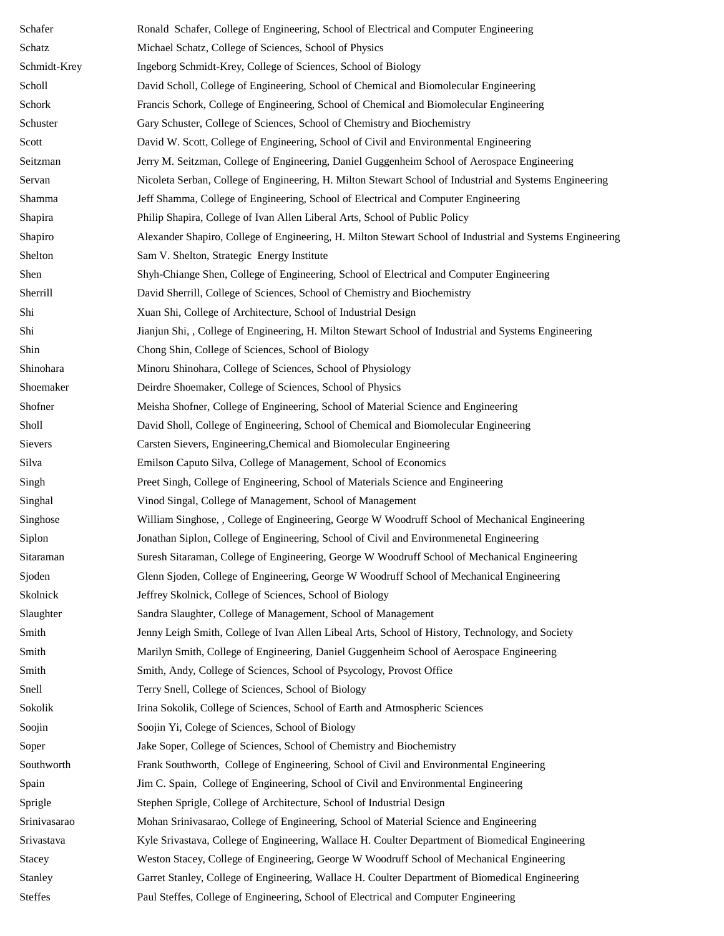| Schafer        | Ronald Schafer, College of Engineering, School of Electrical and Computer Engineering                     |
|----------------|-----------------------------------------------------------------------------------------------------------|
| Schatz         | Michael Schatz, College of Sciences, School of Physics                                                    |
| Schmidt-Krey   | Ingeborg Schmidt-Krey, College of Sciences, School of Biology                                             |
| Scholl         | David Scholl, College of Engineering, School of Chemical and Biomolecular Engineering                     |
| Schork         | Francis Schork, College of Engineering, School of Chemical and Biomolecular Engineering                   |
| Schuster       | Gary Schuster, College of Sciences, School of Chemistry and Biochemistry                                  |
| Scott          | David W. Scott, College of Engineering, School of Civil and Environmental Engineering                     |
| Seitzman       | Jerry M. Seitzman, College of Engineering, Daniel Guggenheim School of Aerospace Engineering              |
| Servan         | Nicoleta Serban, College of Engineering, H. Milton Stewart School of Industrial and Systems Engineering   |
| Shamma         | Jeff Shamma, College of Engineering, School of Electrical and Computer Engineering                        |
| Shapira        | Philip Shapira, College of Ivan Allen Liberal Arts, School of Public Policy                               |
| Shapiro        | Alexander Shapiro, College of Engineering, H. Milton Stewart School of Industrial and Systems Engineering |
| Shelton        | Sam V. Shelton, Strategic Energy Institute                                                                |
| Shen           | Shyh-Chiange Shen, College of Engineering, School of Electrical and Computer Engineering                  |
| Sherrill       | David Sherrill, College of Sciences, School of Chemistry and Biochemistry                                 |
| Shi            | Xuan Shi, College of Architecture, School of Industrial Design                                            |
| Shi            | Jianjun Shi, , College of Engineering, H. Milton Stewart School of Industrial and Systems Engineering     |
| Shin           | Chong Shin, College of Sciences, School of Biology                                                        |
| Shinohara      | Minoru Shinohara, College of Sciences, School of Physiology                                               |
| Shoemaker      | Deirdre Shoemaker, College of Sciences, School of Physics                                                 |
| Shofner        | Meisha Shofner, College of Engineering, School of Material Science and Engineering                        |
| Sholl          | David Sholl, College of Engineering, School of Chemical and Biomolecular Engineering                      |
| Sievers        | Carsten Sievers, Engineering, Chemical and Biomolecular Engineering                                       |
| Silva          | Emilson Caputo Silva, College of Management, School of Economics                                          |
| Singh          | Preet Singh, College of Engineering, School of Materials Science and Engineering                          |
| Singhal        | Vinod Singal, College of Management, School of Management                                                 |
| Singhose       | William Singhose, , College of Engineering, George W Woodruff School of Mechanical Engineering            |
| Siplon         | Jonathan Siplon, College of Engineering, School of Civil and Environmenetal Engineering                   |
| Sitaraman      | Suresh Sitaraman, College of Engineering, George W Woodruff School of Mechanical Engineering              |
| Sjoden         | Glenn Sjoden, College of Engineering, George W Woodruff School of Mechanical Engineering                  |
| Skolnick       | Jeffrey Skolnick, College of Sciences, School of Biology                                                  |
| Slaughter      | Sandra Slaughter, College of Management, School of Management                                             |
| Smith          | Jenny Leigh Smith, College of Ivan Allen Libeal Arts, School of History, Technology, and Society          |
| Smith          | Marilyn Smith, College of Engineering, Daniel Guggenheim School of Aerospace Engineering                  |
| Smith          | Smith, Andy, College of Sciences, School of Psycology, Provost Office                                     |
| Snell          | Terry Snell, College of Sciences, School of Biology                                                       |
| Sokolik        | Irina Sokolik, College of Sciences, School of Earth and Atmospheric Sciences                              |
| Soojin         | Soojin Yi, Colege of Sciences, School of Biology                                                          |
| Soper          | Jake Soper, College of Sciences, School of Chemistry and Biochemistry                                     |
| Southworth     | Frank Southworth, College of Engineering, School of Civil and Environmental Engineering                   |
| Spain          | Jim C. Spain, College of Engineering, School of Civil and Environmental Engineering                       |
| Sprigle        | Stephen Sprigle, College of Architecture, School of Industrial Design                                     |
| Srinivasarao   | Mohan Srinivasarao, College of Engineering, School of Material Science and Engineering                    |
| Srivastava     | Kyle Srivastava, College of Engineering, Wallace H. Coulter Department of Biomedical Engineering          |
| Stacey         | Weston Stacey, College of Engineering, George W Woodruff School of Mechanical Engineering                 |
| Stanley        | Garret Stanley, College of Engineering, Wallace H. Coulter Department of Biomedical Engineering           |
| <b>Steffes</b> | Paul Steffes, College of Engineering, School of Electrical and Computer Engineering                       |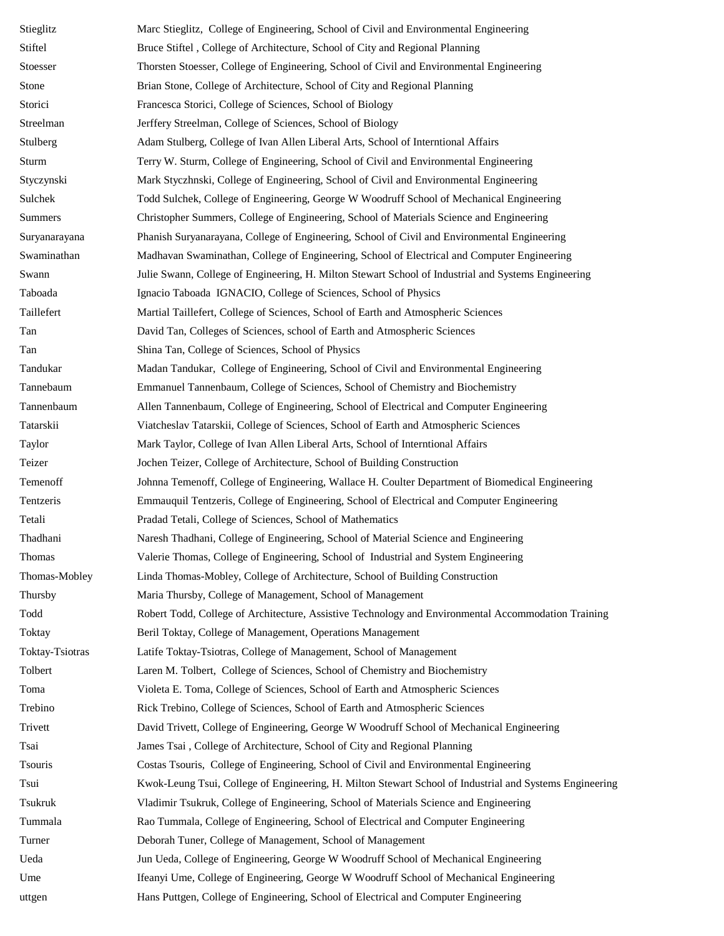| Stieglitz       | Marc Stieglitz, College of Engineering, School of Civil and Environmental Engineering                   |
|-----------------|---------------------------------------------------------------------------------------------------------|
| Stiftel         | Bruce Stiftel, College of Architecture, School of City and Regional Planning                            |
| Stoesser        | Thorsten Stoesser, College of Engineering, School of Civil and Environmental Engineering                |
| Stone           | Brian Stone, College of Architecture, School of City and Regional Planning                              |
| Storici         | Francesca Storici, College of Sciences, School of Biology                                               |
| Streelman       | Jerffery Streelman, College of Sciences, School of Biology                                              |
| Stulberg        | Adam Stulberg, College of Ivan Allen Liberal Arts, School of Interntional Affairs                       |
| Sturm           | Terry W. Sturm, College of Engineering, School of Civil and Environmental Engineering                   |
| Styczynski      | Mark Styczhnski, College of Engineering, School of Civil and Environmental Engineering                  |
| Sulchek         | Todd Sulchek, College of Engineering, George W Woodruff School of Mechanical Engineering                |
| Summers         | Christopher Summers, College of Engineering, School of Materials Science and Engineering                |
| Suryanarayana   | Phanish Suryanarayana, College of Engineering, School of Civil and Environmental Engineering            |
| Swaminathan     | Madhavan Swaminathan, College of Engineering, School of Electrical and Computer Engineering             |
| Swann           | Julie Swann, College of Engineering, H. Milton Stewart School of Industrial and Systems Engineering     |
| Taboada         | Ignacio Taboada IGNACIO, College of Sciences, School of Physics                                         |
| Taillefert      | Martial Taillefert, College of Sciences, School of Earth and Atmospheric Sciences                       |
| Tan             | David Tan, Colleges of Sciences, school of Earth and Atmospheric Sciences                               |
| Tan             | Shina Tan, College of Sciences, School of Physics                                                       |
| Tandukar        | Madan Tandukar, College of Engineering, School of Civil and Environmental Engineering                   |
| Tannebaum       | Emmanuel Tannenbaum, College of Sciences, School of Chemistry and Biochemistry                          |
| Tannenbaum      | Allen Tannenbaum, College of Engineering, School of Electrical and Computer Engineering                 |
| Tatarskii       | Viatcheslav Tatarskii, College of Sciences, School of Earth and Atmospheric Sciences                    |
| Taylor          | Mark Taylor, College of Ivan Allen Liberal Arts, School of Interntional Affairs                         |
| Teizer          | Jochen Teizer, College of Architecture, School of Building Construction                                 |
| Temenoff        | Johnna Temenoff, College of Engineering, Wallace H. Coulter Department of Biomedical Engineering        |
| Tentzeris       | Emmauquil Tentzeris, College of Engineering, School of Electrical and Computer Engineering              |
| Tetali          | Pradad Tetali, College of Sciences, School of Mathematics                                               |
| Thadhani        | Naresh Thadhani, College of Engineering, School of Material Science and Engineering                     |
| Thomas          | Valerie Thomas, College of Engineering, School of Industrial and System Engineering                     |
| Thomas-Mobley   | Linda Thomas-Mobley, College of Architecture, School of Building Construction                           |
| Thursby         | Maria Thursby, College of Management, School of Management                                              |
| Todd            | Robert Todd, College of Architecture, Assistive Technology and Environmental Accommodation Training     |
| Toktay          | Beril Toktay, College of Management, Operations Management                                              |
| Toktay-Tsiotras | Latife Toktay-Tsiotras, College of Management, School of Management                                     |
| Tolbert         | Laren M. Tolbert, College of Sciences, School of Chemistry and Biochemistry                             |
| Toma            | Violeta E. Toma, College of Sciences, School of Earth and Atmospheric Sciences                          |
| Trebino         | Rick Trebino, College of Sciences, School of Earth and Atmospheric Sciences                             |
| Trivett         | David Trivett, College of Engineering, George W Woodruff School of Mechanical Engineering               |
| Tsai            | James Tsai, College of Architecture, School of City and Regional Planning                               |
| Tsouris         | Costas Tsouris, College of Engineering, School of Civil and Environmental Engineering                   |
| Tsui            | Kwok-Leung Tsui, College of Engineering, H. Milton Stewart School of Industrial and Systems Engineering |
| Tsukruk         | Vladimir Tsukruk, College of Engineering, School of Materials Science and Engineering                   |
| Tummala         | Rao Tummala, College of Engineering, School of Electrical and Computer Engineering                      |
| Turner          | Deborah Tuner, College of Management, School of Management                                              |
| Ueda            | Jun Ueda, College of Engineering, George W Woodruff School of Mechanical Engineering                    |
| Ume             | Ifeanyi Ume, College of Engineering, George W Woodruff School of Mechanical Engineering                 |
| uttgen          | Hans Puttgen, College of Engineering, School of Electrical and Computer Engineering                     |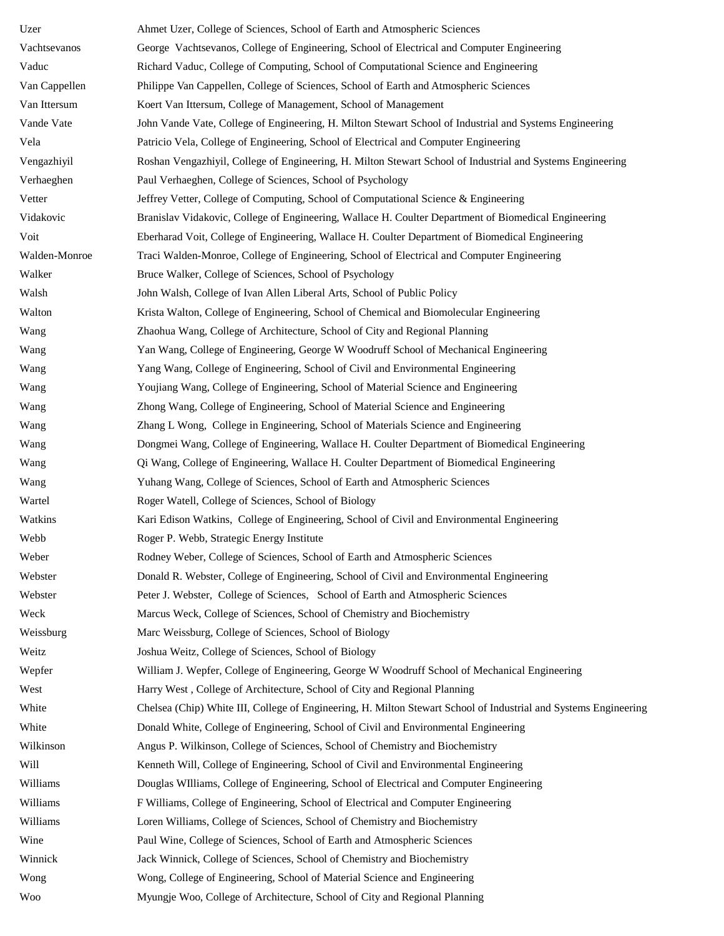| Uzer          | Ahmet Uzer, College of Sciences, School of Earth and Atmospheric Sciences                                        |
|---------------|------------------------------------------------------------------------------------------------------------------|
| Vachtsevanos  | George Vachtsevanos, College of Engineering, School of Electrical and Computer Engineering                       |
| Vaduc         | Richard Vaduc, College of Computing, School of Computational Science and Engineering                             |
| Van Cappellen | Philippe Van Cappellen, College of Sciences, School of Earth and Atmospheric Sciences                            |
| Van Ittersum  | Koert Van Ittersum, College of Management, School of Management                                                  |
| Vande Vate    | John Vande Vate, College of Engineering, H. Milton Stewart School of Industrial and Systems Engineering          |
| Vela          | Patricio Vela, College of Engineering, School of Electrical and Computer Engineering                             |
| Vengazhiyil   | Roshan Vengazhiyil, College of Engineering, H. Milton Stewart School of Industrial and Systems Engineering       |
| Verhaeghen    | Paul Verhaeghen, College of Sciences, School of Psychology                                                       |
| Vetter        | Jeffrey Vetter, College of Computing, School of Computational Science & Engineering                              |
| Vidakovic     | Branislav Vidakovic, College of Engineering, Wallace H. Coulter Department of Biomedical Engineering             |
| Voit          | Eberharad Voit, College of Engineering, Wallace H. Coulter Department of Biomedical Engineering                  |
| Walden-Monroe | Traci Walden-Monroe, College of Engineering, School of Electrical and Computer Engineering                       |
| Walker        | Bruce Walker, College of Sciences, School of Psychology                                                          |
| Walsh         | John Walsh, College of Ivan Allen Liberal Arts, School of Public Policy                                          |
| Walton        | Krista Walton, College of Engineering, School of Chemical and Biomolecular Engineering                           |
| Wang          | Zhaohua Wang, College of Architecture, School of City and Regional Planning                                      |
| Wang          | Yan Wang, College of Engineering, George W Woodruff School of Mechanical Engineering                             |
| Wang          | Yang Wang, College of Engineering, School of Civil and Environmental Engineering                                 |
| Wang          | Youjiang Wang, College of Engineering, School of Material Science and Engineering                                |
| Wang          | Zhong Wang, College of Engineering, School of Material Science and Engineering                                   |
| Wang          | Zhang L Wong, College in Engineering, School of Materials Science and Engineering                                |
| Wang          | Dongmei Wang, College of Engineering, Wallace H. Coulter Department of Biomedical Engineering                    |
| Wang          | Qi Wang, College of Engineering, Wallace H. Coulter Department of Biomedical Engineering                         |
| Wang          | Yuhang Wang, College of Sciences, School of Earth and Atmospheric Sciences                                       |
| Wartel        | Roger Watell, College of Sciences, School of Biology                                                             |
| Watkins       | Kari Edison Watkins, College of Engineering, School of Civil and Environmental Engineering                       |
| Webb          | Roger P. Webb, Strategic Energy Institute                                                                        |
| Weber         | Rodney Weber, College of Sciences, School of Earth and Atmospheric Sciences                                      |
| Webster       | Donald R. Webster, College of Engineering, School of Civil and Environmental Engineering                         |
| Webster       | Peter J. Webster, College of Sciences, School of Earth and Atmospheric Sciences                                  |
| Weck          | Marcus Weck, College of Sciences, School of Chemistry and Biochemistry                                           |
| Weissburg     | Marc Weissburg, College of Sciences, School of Biology                                                           |
| Weitz         | Joshua Weitz, College of Sciences, School of Biology                                                             |
| Wepfer        | William J. Wepfer, College of Engineering, George W Woodruff School of Mechanical Engineering                    |
| West          | Harry West, College of Architecture, School of City and Regional Planning                                        |
| White         | Chelsea (Chip) White III, College of Engineering, H. Milton Stewart School of Industrial and Systems Engineering |
| White         | Donald White, College of Engineering, School of Civil and Environmental Engineering                              |
| Wilkinson     | Angus P. Wilkinson, College of Sciences, School of Chemistry and Biochemistry                                    |
| Will          | Kenneth Will, College of Engineering, School of Civil and Environmental Engineering                              |
| Williams      | Douglas WIlliams, College of Engineering, School of Electrical and Computer Engineering                          |
| Williams      | F Williams, College of Engineering, School of Electrical and Computer Engineering                                |
| Williams      | Loren Williams, College of Sciences, School of Chemistry and Biochemistry                                        |
| Wine          | Paul Wine, College of Sciences, School of Earth and Atmospheric Sciences                                         |
| Winnick       | Jack Winnick, College of Sciences, School of Chemistry and Biochemistry                                          |
| Wong          | Wong, College of Engineering, School of Material Science and Engineering                                         |
| Woo           | Myungje Woo, College of Architecture, School of City and Regional Planning                                       |